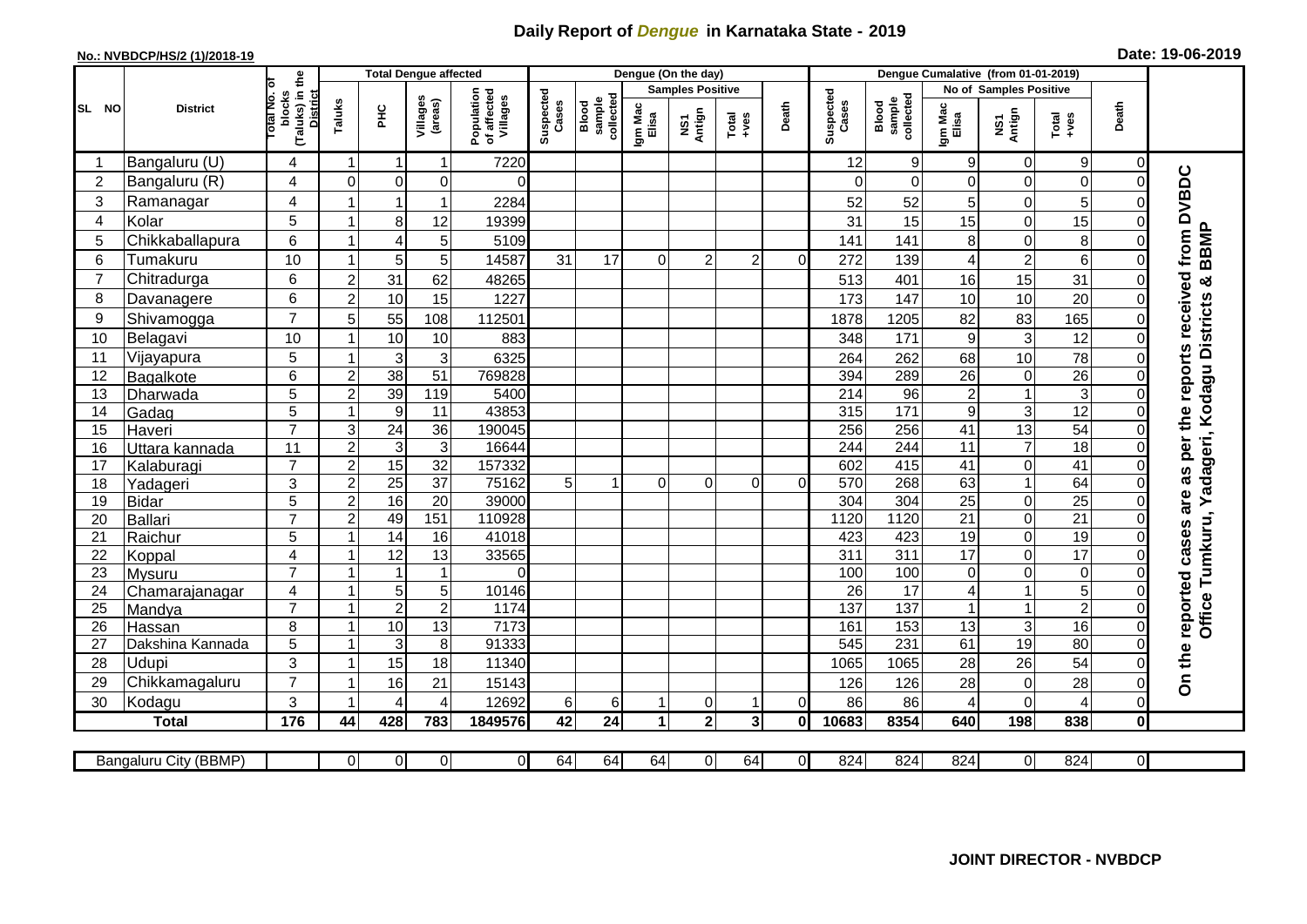## **Daily Report of** *Dengue* **in Karnataka State - 2019**

## **No.: NVBDCP/HS/2 (1)/2018-19 Date: 19-06-2019**

|                                                                                                                                                                                                               | <b>District</b>            |                                                      | <b>Total Dengue affected</b> |                      |                      |                                       |                    |                              |                         | Dengue (On the day) |                         |          |                    |                                     |                               |                   |                      |                               |                                                                  |
|---------------------------------------------------------------------------------------------------------------------------------------------------------------------------------------------------------------|----------------------------|------------------------------------------------------|------------------------------|----------------------|----------------------|---------------------------------------|--------------------|------------------------------|-------------------------|---------------------|-------------------------|----------|--------------------|-------------------------------------|-------------------------------|-------------------|----------------------|-------------------------------|------------------------------------------------------------------|
|                                                                                                                                                                                                               |                            |                                                      |                              |                      |                      | Population<br>of affected<br>Villages | Suspected<br>Cases |                              | <b>Samples Positive</b> |                     |                         |          |                    |                                     | <b>No of Samples Positive</b> |                   |                      |                               |                                                                  |
| SL NO                                                                                                                                                                                                         |                            | (Taluks) in the<br>District<br>otal No. of<br>blocks | Taluks                       | ΞÉ                   | Villages<br>(areas)  |                                       |                    | sample<br>collected<br>Blood | Igm Mac<br>Elisa        | NS1<br>Antign       | $Tota$<br>$+ves$        | Death    | Suspected<br>Cases | collected<br><b>Blood</b><br>sample | Igm Mac<br>Elisa              | NS1<br>Antign     | Total<br>+ves        | Death                         |                                                                  |
|                                                                                                                                                                                                               | Bangaluru (U)              | 4                                                    | -1                           | -1                   | 1                    | 7220                                  |                    |                              |                         |                     |                         |          | 12                 | 9                                   | 9                             | 0                 | 9                    | 0                             |                                                                  |
| $\overline{2}$                                                                                                                                                                                                | Bangaluru (R)              | $\overline{4}$                                       | $\mathbf 0$                  | $\mathbf 0$          | 0                    | $\Omega$                              |                    |                              |                         |                     |                         |          | $\Omega$           | $\Omega$                            | $\Omega$                      | $\mathbf 0$       | $\mathbf 0$          | $\Omega$                      |                                                                  |
| 3                                                                                                                                                                                                             | Ramanagar                  | 4                                                    |                              |                      | 1                    | 2284                                  |                    |                              |                         |                     |                         |          | 52                 | 52                                  | 5                             | 0                 | 5                    |                               |                                                                  |
| $\overline{4}$                                                                                                                                                                                                | Kolar                      | 5                                                    |                              | 8                    | 12                   | 19399                                 |                    |                              |                         |                     |                         |          | 31                 | 15                                  | 15                            | $\mathbf 0$       | 15                   |                               |                                                                  |
| 5                                                                                                                                                                                                             | Chikkaballapura            | 6                                                    | $\overline{1}$               | $\overline{4}$       | 5                    | 5109                                  |                    |                              |                         |                     |                         |          | 141                | 141                                 | 8                             | 0                 | 8                    |                               | <b>BBMP</b>                                                      |
| 6                                                                                                                                                                                                             | Tumakuru                   | 10                                                   | -1                           | 5                    | 5                    | 14587                                 | 31                 | 17                           | 0                       | $\overline{2}$      | $\overline{2}$          | $\Omega$ | 272                | 139                                 | 4                             | $\overline{c}$    | $6\phantom{1}$       |                               |                                                                  |
| $\overline{7}$                                                                                                                                                                                                | Chitradurga                | 6                                                    | $\overline{c}$               | 31                   | 62                   | 48265                                 |                    |                              |                         |                     |                         |          | 513                | 401                                 | 16                            | 15                | 31                   |                               | ×                                                                |
| 8                                                                                                                                                                                                             | Davanagere                 | 6                                                    | $\overline{2}$               | 10                   | 15                   | 1227                                  |                    |                              |                         |                     |                         |          | 173                | 147                                 | 10                            | 10                | 20                   |                               |                                                                  |
| 9                                                                                                                                                                                                             | Shivamogga                 | $\overline{7}$                                       | 5                            | 55                   | 108                  | 112501                                |                    |                              |                         |                     |                         |          | 1878               | 1205                                | 82                            | 83                | 165                  |                               | adageri, Kodagu Districts                                        |
| 10                                                                                                                                                                                                            | Belagavi                   | 10                                                   |                              | 10                   | 10                   | 883                                   |                    |                              |                         |                     |                         |          | 348                | 171                                 | 9                             | $\mathbf{3}$      | 12                   |                               |                                                                  |
| 11                                                                                                                                                                                                            | Vijayapura                 | 5                                                    |                              | $\mathbf{3}$         | 3                    | 6325                                  |                    |                              |                         |                     |                         |          | 264                | 262                                 | 68                            | 10                | 78                   |                               |                                                                  |
| 12                                                                                                                                                                                                            | Bagalkote                  | 6                                                    | $\overline{2}$               | 38                   | 51                   | 769828                                |                    |                              |                         |                     |                         |          | 394                | 289                                 | $\overline{26}$               | $\pmb{0}$         | $\overline{26}$      |                               |                                                                  |
| 13                                                                                                                                                                                                            | Dharwada                   | $\overline{5}$                                       | $\overline{2}$               | 39                   | 119                  | 5400                                  |                    |                              |                         |                     |                         |          | 214                | 96                                  | $\overline{2}$                | $\overline{1}$    | $\overline{3}$       |                               |                                                                  |
| 14                                                                                                                                                                                                            | Gadag                      | 5                                                    | $\overline{1}$               | $\boldsymbol{9}$     | 11                   | 43853                                 |                    |                              |                         |                     |                         |          | 315                | $\frac{1}{171}$                     | $\boldsymbol{9}$              | $\overline{3}$    | 12                   | $\Omega$                      |                                                                  |
| 15                                                                                                                                                                                                            | Haveri                     | $\overline{7}$                                       | 3                            | $\overline{24}$      | $\overline{36}$      | 190045                                |                    |                              |                         |                     |                         |          | 256                | 256                                 | 41                            | 13                | 54                   |                               |                                                                  |
| 16                                                                                                                                                                                                            | Uttara kannada             | 11                                                   | $\overline{c}$               | $\mathsf 3$          | $\mathbf{3}$         | 16644                                 |                    |                              |                         |                     |                         |          | 244                | 244                                 | 11                            | $\overline{7}$    | 18                   |                               |                                                                  |
| 17                                                                                                                                                                                                            | Kalaburagi                 | $\overline{7}$                                       | $\overline{c}$               | 15                   | $\overline{32}$      | 157332                                |                    |                              |                         |                     |                         |          | 602                | 415                                 | $\overline{41}$               | $\mathbf 0$       | 41                   |                               |                                                                  |
| 18                                                                                                                                                                                                            | Yadageri                   | 3                                                    | $\overline{c}$               | $\overline{25}$      | $\overline{37}$      | 75162                                 | 5 <sup>5</sup>     | 1                            | $\Omega$                | 0                   | $\Omega$                | $\Omega$ | 570                | 268                                 | 63                            | $\mathbf{1}$      | 64                   |                               |                                                                  |
| 19                                                                                                                                                                                                            | Bidar                      | 5                                                    | $\overline{2}$               | 16                   | $\overline{20}$      | 39000                                 |                    |                              |                         |                     |                         |          | 304                | 304                                 | $\overline{25}$               | 0                 | $\overline{25}$      |                               | ≻                                                                |
| 20                                                                                                                                                                                                            | Ballari                    | $\overline{7}$                                       | $\overline{c}$               | 49                   | 151                  | 110928                                |                    |                              |                         |                     |                         |          | 1120               | 1120                                | 21                            | $\overline{0}$    | 21                   |                               |                                                                  |
| 21                                                                                                                                                                                                            | Raichur                    | 5                                                    |                              | 14                   | 16                   | 41018                                 |                    |                              |                         |                     |                         |          | 423                | 423                                 | 19                            | $\mathsf 0$       | 19                   |                               | Tumkuru,                                                         |
| 22                                                                                                                                                                                                            | Koppal                     | $\overline{4}$                                       |                              | $\overline{12}$      | 13                   | 33565                                 |                    |                              |                         |                     |                         |          | $\overline{311}$   | 311                                 | $\overline{17}$               | $\overline{0}$    | 17                   |                               |                                                                  |
| 23                                                                                                                                                                                                            | Mysuru                     | $\overline{7}$                                       | -1                           | -1                   | $\mathbf{1}$         | $\Omega$                              |                    |                              |                         |                     |                         |          | 100                | 100                                 | $\mathbf 0$                   | $\mathsf 0$       | $\mathsf 0$          |                               |                                                                  |
| 24                                                                                                                                                                                                            | Chamarajanagar             | 4<br>$\overline{7}$                                  | 1                            | $\sqrt{5}$           | 5                    | 10146                                 |                    |                              |                         |                     |                         |          | $\overline{26}$    | $\overline{17}$                     | 4                             | $\mathbf{1}$      | $\overline{5}$       |                               |                                                                  |
| $\overline{25}$                                                                                                                                                                                               | Mandya                     |                                                      | $\overline{1}$               | $\overline{2}$       | $\overline{2}$<br>13 | 1174<br>7173                          |                    |                              |                         |                     |                         |          | 137                | 137                                 |                               | $\mathbf{1}$      | $\overline{2}$<br>16 | $\mathbf 0$                   | <b>Office</b>                                                    |
| 26<br>27                                                                                                                                                                                                      | Hassan<br>Dakshina Kannada | 8<br>5                                               | 1                            | 10<br>$\overline{3}$ | $\,8\,$              | 91333                                 |                    |                              |                         |                     |                         |          | 161<br>545         | 153<br>231                          | 13<br>61                      | $\mathsf 3$<br>19 | 80                   | $\mathbf 0$<br>$\overline{0}$ |                                                                  |
| 28                                                                                                                                                                                                            | <b>Udupi</b>               | 3                                                    |                              | 15                   | 18                   | 11340                                 |                    |                              |                         |                     |                         |          | 1065               | 1065                                | 28                            | 26                | 54                   |                               |                                                                  |
| 29                                                                                                                                                                                                            | Chikkamagaluru             | $\overline{7}$                                       |                              | 16                   | 21                   | 15143                                 |                    |                              |                         |                     |                         |          | 126                | 126                                 | 28                            | $\mathsf 0$       | 28                   |                               | On the reported cases are as per the reports received from DVBDC |
| 30                                                                                                                                                                                                            | Kodagu                     | 3                                                    |                              | 4                    | 4                    | 12692                                 | 6                  | $6 \mid$                     |                         | 0                   | -1                      | $\Omega$ | 86                 | 86                                  | 4                             | $\mathbf 0$       | $\overline{4}$       | $\Omega$                      |                                                                  |
|                                                                                                                                                                                                               | <b>Total</b>               | 176                                                  | 44                           | 428                  | 783                  | 1849576                               | 42                 | $\overline{24}$              | $\blacktriangleleft$    | $\overline{2}$      | $\overline{\mathbf{3}}$ | 0        | 10683              | 8354                                | 640                           | 198               | 838                  | $\mathbf 0$                   |                                                                  |
|                                                                                                                                                                                                               |                            |                                                      |                              |                      |                      |                                       |                    |                              |                         |                     |                         |          |                    |                                     |                               |                   |                      |                               |                                                                  |
| $\overline{0}$<br>$\overline{0}$<br>64<br>64<br>64<br>64<br>$\overline{0}$<br>824<br>824<br>824<br>$\overline{0}$<br>824<br>$\overline{0}$<br>Bangaluru City (BBMP)<br>$\Omega$<br>$\overline{0}$<br>$\Omega$ |                            |                                                      |                              |                      |                      |                                       |                    |                              |                         |                     |                         |          |                    |                                     |                               |                   |                      |                               |                                                                  |